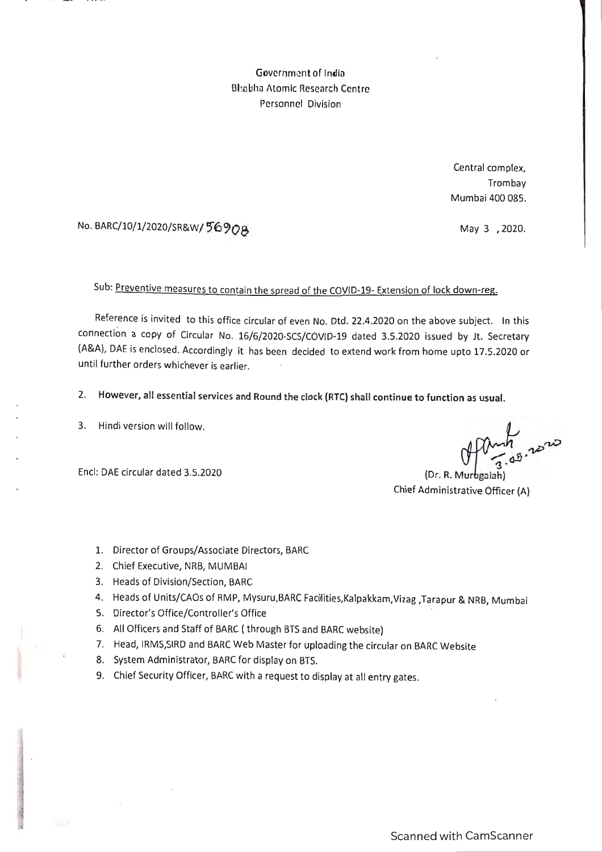Government of India Bhabha Atomic Research Centre Personnel Division

> Central complex, Trombay Mumbai 400 085.

May 3 , 2020.

# No. BARC/10/1/2020/SR&W/56908

# Sub: Preventive measures to contain the spread of the COVID-19- Extension of lock down-reg.

Reference is invited to this office circular of even No. Dtd. 22.4.2020 on the above subject. In this connection a copy of Circular No. 16/6/2020-SCS/COVID-19 dated 3.5.2020 issued by Jt. Secretary (A&A), DAE is enclosed. Accordingly it has been decided to extend work from home upto 17.5.2020 or until further orders whichever is earlier.

2. However, all essential services and Round the· clock (RTC) shall continue to function as usual.

3. Hindi version will follow.

Encl: DAE circular dated 3.5.2020

Afant<sub> 2220</sub>

(Dr. R. Murugaiah) Chief Administrative Officer (A)

- 1. Director of Groups/Associate Directors, BARC
- 2. Chief Executive, NRB, MUMBAI
- 3. Heads of Division/Section, BARC
- 4. Heads of Units/CAOs of RMP, Mysuru,BARC Facolities,Kalpakkam,Vizag ,Tarapur & NRB, Mumbai
- 5. Director's Office/Controller's Office
- 6. All Officers and Staff of BARC ( through BTS and BARC website)
- 7. Head, IRMS,SIRD and BARC Web Master for uploading the circular on BARC Website
- 8. System Administrator, BARC for display on BTS.
- 9. Chief Security Officer, BARC with a request to display at all entry gates.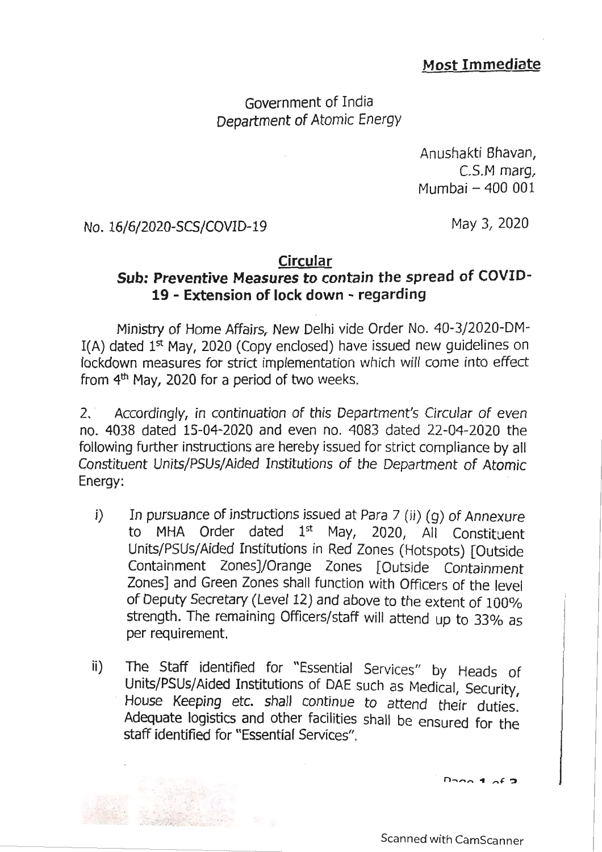# Most Immediate

Government of India Department of Atomic Energy

> Anushakti Bhavan, C.S.M marg, Mumbai - 400 001

No. 16/6/2020-SCS/COVID-19

.., . ~- . . .

May 3, 2020

#### Circular

# Sub: Preventive Measures to contain the spread of COVID-19 - Extension of lock down - regarding

Ministry of Home Affairs, New Delhi vide Order No. 40-3/2020-DM-I(A) dated  $1<sup>st</sup>$  May, 2020 (Copy enclosed) have issued new guidelines on lockdown measures for strict implementation which will come into effect from  $4<sup>th</sup>$  May, 2020 for a period of two weeks.

2. Accordingly, in continuation of this Department's Circular of even no. 4038 dated 15-04-2020 and even no. 4083 dated 22-04-2020 the following further instructions are hereby issued for strict compliance by all Constituent Units/PSUs/Aided Institutions of the Department of Atomic Energy:

- i) In pursuance of instructions issued at Para 7 (ii) (g) of Annexure to MHA Order dated  $1<sup>st</sup>$  May, 2020, All Constituent Units/PSUs/Aided Institutions in Red Zones (Hotspots) [Outside Containment Zones]/Orange Zones [Outside Containment Zones] and Green Zones shall function with Officers of the level of Deputy Secretary (Level 12) and above to the extent of 100% strength. The remaining Officers/staff will attend up to 33% as per requirement.
- ii) The Staff identified for "Essential Services" by Heads of Units/PSUs/Aided Institutions of DAE such as Medical, Security, House Keeping etc. shall continue to attend their duties. Adequate logistics and other facilities shall be ensured for the staff identified for "Essential Services" .

 $$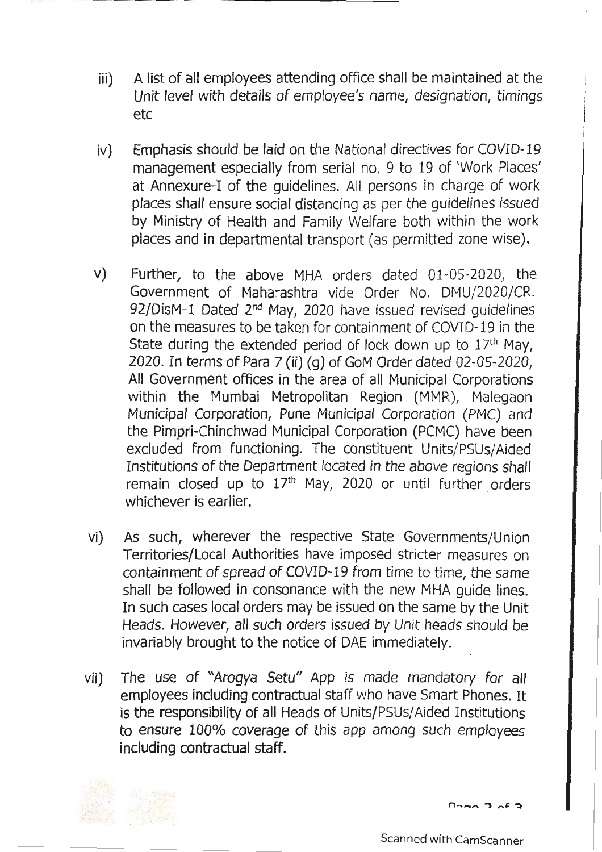- iii) A list of all employees attending office shall be maintained at the Unit level with details of employee's name, designation, timings etc
- iv) Emphasis should be laid on the National directives for COVID-19 management especially from serial no. 9 to 19 of 'Work Places' at Annexure-I of the guidelines. All persons in charge of work places shall ensure social distancing as per the guidelines issued by Ministry of Health and Family Welfare both within the work places and in departmental transport (as permitted zone wise).
- v) Further, to the above MHA orders dated 01-05-2020, the Government of Maharashtra vide Order No. DMU/2020/CR. 92/DisM-1 Dated 2<sup>nd</sup> May, 2020 have issued revised guidelines on the measures to be taken for containment of COVID-19 in the State during the extended period of lock down up to  $17<sup>th</sup>$  May, 2020. In terms of Para 7 (ii) (g) of GoM Order dated 02-05-2020, All Government offices in the area of all Municipal Corporations within the Mumbai Metropolitan Region (MMR), Malegaon Municipal Corporation, Pune Municipal Corporation (PMC) and the Pimpri-Chinchwad Municipal Corporation (PCMC) have been excluded from functioning. The constituent Units/PSUs/Aided Institutions of the Department located in the above regions shall remain closed up to  $17<sup>th</sup>$  May, 2020 or until further orders whichever is earlier.
- vi) As such, wherever the respective State Governments/Union Territories/Local Authorities have imposed stricter measures on containment of spread of COVID-19 from time to time, the same shall be followed in consonance with the new MHA guide lines. In such cases local orders may be issued on the same by the Unit Heads. However, all such orders issued by Unit heads should be invariably brought to the notice of DAE immediately.
- vii) The use of "Arogya Setu" App is made mandatory for all employees including contractual staff who have Smart Phones. It is the responsibility of all Heads of Units/PSUs/ Aided Institutions to ensure 100% coverage of this app among such employees including contractual staff.



 $D_{200}$   $D_{200}$